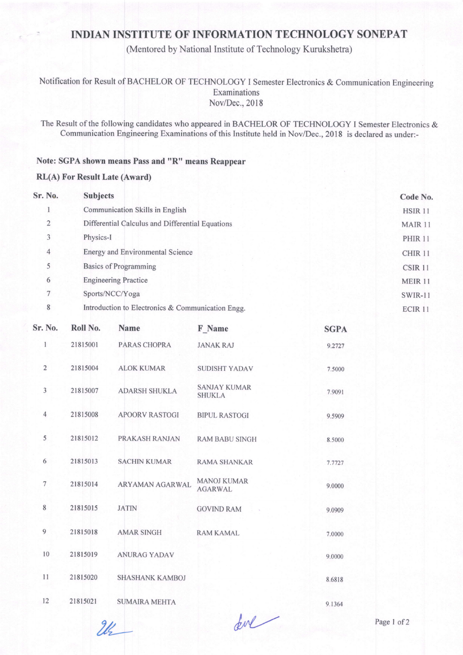# **INDIAN INSTITUTE OF INFORMATION TECHNOLOGY SONEPAT**

(Mentored by National Institute of Technology Kurukshetra)

### Notification for Result of BACHELOR OF TECHNOLOGY I Semester Electronics & Communication Engineering Examinations Nov/Dec., 2018

The Result of the following candidates who appeared in BACHELOR OF TECHNOLOGY I Semester Electronics & Communication Engineering Examinations of this Institute held in Nov/Dec., 2018 is declared as under:-

### Note: SGPA shown means Pass and "R" means Reappear

### **RL(A) For Result Late (Award)**

| Sr. No.         | <b>Subjects</b>                                   | Code No.           |
|-----------------|---------------------------------------------------|--------------------|
|                 | Communication Skills in English                   | HSIR <sub>11</sub> |
| $\overline{2}$  | Differential Calculus and Differential Equations  | MAIR 11            |
| 3               | Physics-I                                         | <b>PHIR 11</b>     |
| $\overline{4}$  | Energy and Environmental Science                  | CHIR <sub>11</sub> |
| 5               | <b>Basics of Programming</b>                      | CSIR 11            |
| 6               | <b>Engineering Practice</b>                       | MEIR 11            |
| $7\phantom{.0}$ | Sports/NCC/Yoga                                   | SWIR-11            |
| 8               | Introduction to Electronics & Communication Engg. | ECIR <sub>11</sub> |

| $\circ$        | Introduction to Electronics $\alpha$ Communication Engg. |                       |                                      |             |
|----------------|----------------------------------------------------------|-----------------------|--------------------------------------|-------------|
| Sr. No.        | Roll No.                                                 | <b>Name</b>           | F_Name                               | <b>SGPA</b> |
| 1              | 21815001                                                 | PARAS CHOPRA          | <b>JANAK RAJ</b>                     | 9.2727      |
| $\overline{2}$ | 21815004                                                 | <b>ALOK KUMAR</b>     | <b>SUDISHT YADAV</b>                 | 7.5000      |
| 3              | 21815007                                                 | <b>ADARSH SHUKLA</b>  | <b>SANJAY KUMAR</b><br><b>SHUKLA</b> | 7.9091      |
| $\overline{4}$ | 21815008                                                 | <b>APOORV RASTOGI</b> | <b>BIPUL RASTOGI</b>                 | 9.5909      |
| 5              | 21815012                                                 | PRAKASH RANJAN        | <b>RAM BABU SINGH</b>                | 8.5000      |
| 6              | 21815013                                                 | <b>SACHIN KUMAR</b>   | <b>RAMA SHANKAR</b>                  | 7.7727      |
| $\overline{7}$ | 21815014                                                 | ARYAMAN AGARWAL       | <b>MANOJ KUMAR</b><br><b>AGARWAL</b> | 9.0000      |
| $8\phantom{1}$ | 21815015                                                 | <b>JATIN</b>          | <b>GOVIND RAM</b>                    | 9.0909      |
| 9              | 21815018                                                 | <b>AMAR SINGH</b>     | <b>RAM KAMAL</b>                     | 7.0000      |
| 10             | 21815019                                                 | <b>ANURAG YADAV</b>   |                                      | 9.0000      |
| 11             | 21815020                                                 | SHASHANK KAMBOJ       |                                      | 8.6818      |
| 12             | 21815021                                                 | <b>SUMAIRA MEHTA</b>  |                                      | 9.1364      |

for

 $2l$ 

Page 1 of 2